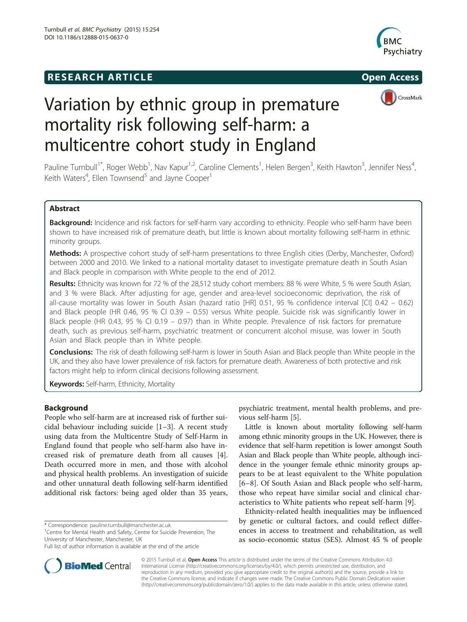# **RESEARCH ARTICLE Example 2014 CONSIDERING CONSIDERING CONSIDERING CONSIDERING CONSIDERING CONSIDERING CONSIDERING CONSIDERING CONSIDERING CONSIDERING CONSIDERING CONSIDERING CONSIDERING CONSIDERING CONSIDERING CONSIDE**





# Variation by ethnic group in premature mortality risk following self-harm: a multicentre cohort study in England

Pauline Turnbull<sup>1\*</sup>, Roger Webb<sup>1</sup>, Nav Kapur<sup>1,2</sup>, Caroline Clements<sup>1</sup>, Helen Bergen<sup>3</sup>, Keith Hawton<sup>3</sup>, Jennifer Ness<sup>4</sup> , Keith Waters<sup>4</sup>, Ellen Townsend<sup>5</sup> and Jayne Cooper<sup>1</sup>

# Abstract

**Background:** Incidence and risk factors for self-harm vary according to ethnicity. People who self-harm have been shown to have increased risk of premature death, but little is known about mortality following self-harm in ethnic minority groups.

Methods: A prospective cohort study of self-harm presentations to three English cities (Derby, Manchester, Oxford) between 2000 and 2010. We linked to a national mortality dataset to investigate premature death in South Asian and Black people in comparison with White people to the end of 2012.

Results: Ethnicity was known for 72 % of the 28,512 study cohort members: 88 % were White, 5 % were South Asian, and 3 % were Black. After adjusting for age, gender and area-level socioeconomic deprivation, the risk of all-cause mortality was lower in South Asian (hazard ratio [HR] 0.51, 95 % confidence interval [CI] 0.42 – 0.62) and Black people (HR 0.46, 95 % CI 0.39 – 0.55) versus White people. Suicide risk was significantly lower in Black people (HR 0.43, 95 % CI 0.19 – 0.97) than in White people. Prevalence of risk factors for premature death, such as previous self-harm, psychiatric treatment or concurrent alcohol misuse, was lower in South Asian and Black people than in White people.

Conclusions: The risk of death following self-harm is lower in South Asian and Black people than White people in the UK, and they also have lower prevalence of risk factors for premature death. Awareness of both protective and risk factors might help to inform clinical decisions following assessment.

Keywords: Self-harm, Ethnicity, Mortality

# Background

People who self-harm are at increased risk of further suicidal behaviour including suicide [\[1](#page-6-0)–[3](#page-6-0)]. A recent study using data from the Multicentre Study of Self-Harm in England found that people who self-harm also have increased risk of premature death from all causes [\[4](#page-6-0)]. Death occurred more in men, and those with alcohol and physical health problems. An investigation of suicide and other unnatural death following self-harm identified additional risk factors: being aged older than 35 years,

\* Correspondence: [pauline.turnbull@manchester.ac.uk](mailto:pauline.turnbull@manchester.ac.uk) <sup>1</sup>

<sup>1</sup> Centre for Mental Health and Safety, Centre for Suicide Prevention, The University of Manchester, Manchester, UK

psychiatric treatment, mental health problems, and previous self-harm [[5\]](#page-6-0).

Little is known about mortality following self-harm among ethnic minority groups in the UK. However, there is evidence that self-harm repetition is lower amongst South Asian and Black people than White people, although incidence in the younger female ethnic minority groups appears to be at least equivalent to the White population [[6](#page-6-0)–[8\]](#page-6-0). Of South Asian and Black people who self-harm, those who repeat have similar social and clinical characteristics to White patients who repeat self-harm [[9](#page-6-0)].

Ethnicity-related health inequalities may be influenced by genetic or cultural factors, and could reflect differences in access to treatment and rehabilitation, as well as socio-economic status (SES). Almost 45 % of people



© 2015 Turnbull et al. Open Access This article is distributed under the terms of the Creative Commons Attribution 4.0 International License [\(http://creativecommons.org/licenses/by/4.0/](http://creativecommons.org/licenses/by/4.0/)), which permits unrestricted use, distribution, and reproduction in any medium, provided you give appropriate credit to the original author(s) and the source, provide a link to the Creative Commons license, and indicate if changes were made. The Creative Commons Public Domain Dedication waiver [\(http://creativecommons.org/publicdomain/zero/1.0/](http://creativecommons.org/publicdomain/zero/1.0/)) applies to the data made available in this article, unless otherwise stated.

Full list of author information is available at the end of the article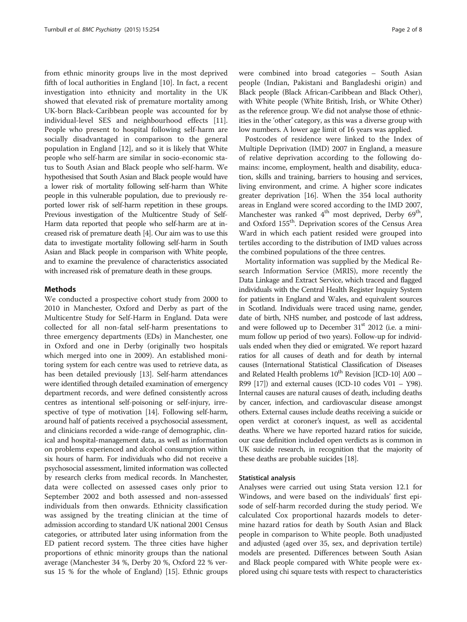from ethnic minority groups live in the most deprived fifth of local authorities in England [\[10\]](#page-6-0). In fact, a recent investigation into ethnicity and mortality in the UK showed that elevated risk of premature mortality among UK-born Black-Caribbean people was accounted for by individual-level SES and neighbourhood effects [\[11](#page-6-0)]. People who present to hospital following self-harm are socially disadvantaged in comparison to the general population in England [[12](#page-6-0)], and so it is likely that White people who self-harm are similar in socio-economic status to South Asian and Black people who self-harm. We hypothesised that South Asian and Black people would have a lower risk of mortality following self-harm than White people in this vulnerable population, due to previously reported lower risk of self-harm repetition in these groups. Previous investigation of the Multicentre Study of Self-Harm data reported that people who self-harm are at increased risk of premature death [\[4\]](#page-6-0). Our aim was to use this data to investigate mortality following self-harm in South Asian and Black people in comparison with White people, and to examine the prevalence of characteristics associated with increased risk of premature death in these groups.

# Methods

We conducted a prospective cohort study from 2000 to 2010 in Manchester, Oxford and Derby as part of the Multicentre Study for Self-Harm in England. Data were collected for all non-fatal self-harm presentations to three emergency departments (EDs) in Manchester, one in Oxford and one in Derby (originally two hospitals which merged into one in 2009). An established monitoring system for each centre was used to retrieve data, as has been detailed previously [\[13\]](#page-6-0). Self-harm attendances were identified through detailed examination of emergency department records, and were defined consistently across centres as intentional self-poisoning or self-injury, irrespective of type of motivation [\[14](#page-6-0)]. Following self-harm, around half of patients received a psychosocial assessment, and clinicians recorded a wide-range of demographic, clinical and hospital-management data, as well as information on problems experienced and alcohol consumption within six hours of harm. For individuals who did not receive a psychosocial assessment, limited information was collected by research clerks from medical records. In Manchester, data were collected on assessed cases only prior to September 2002 and both assessed and non-assessed individuals from then onwards. Ethnicity classification was assigned by the treating clinician at the time of admission according to standard UK national 2001 Census categories, or attributed later using information from the ED patient record system. The three cities have higher proportions of ethnic minority groups than the national average (Manchester 34 %, Derby 20 %, Oxford 22 % versus 15 % for the whole of England) [\[15\]](#page-6-0). Ethnic groups were combined into broad categories – South Asian people (Indian, Pakistani and Bangladeshi origin) and Black people (Black African-Caribbean and Black Other), with White people (White British, Irish, or White Other) as the reference group. We did not analyse those of ethnicities in the 'other' category, as this was a diverse group with low numbers. A lower age limit of 16 years was applied.

Postcodes of residence were linked to the Index of Multiple Deprivation (IMD) 2007 in England, a measure of relative deprivation according to the following domains: income, employment, health and disability, education, skills and training, barriers to housing and services, living environment, and crime. A higher score indicates greater deprivation [\[16\]](#page-6-0). When the 354 local authority areas in England were scored according to the IMD 2007, Manchester was ranked  $4<sup>th</sup>$  most deprived, Derby  $69<sup>th</sup>$ , and Oxford 155<sup>th</sup>. Deprivation scores of the Census Area Ward in which each patient resided were grouped into tertiles according to the distribution of IMD values across the combined populations of the three centres.

Mortality information was supplied by the Medical Research Information Service (MRIS), more recently the Data Linkage and Extract Service, which traced and flagged individuals with the Central Health Register Inquiry System for patients in England and Wales, and equivalent sources in Scotland. Individuals were traced using name, gender, date of birth, NHS number, and postcode of last address, and were followed up to December  $31<sup>st</sup>$  2012 (i.e. a minimum follow up period of two years). Follow-up for individuals ended when they died or emigrated. We report hazard ratios for all causes of death and for death by internal causes (International Statistical Classification of Diseases and Related Health problems  $10^{th}$  Revision [ICD-10] A00 – R99  $[17]$  $[17]$  $[17]$ ) and external causes (ICD-10 codes V01 – Y98). Internal causes are natural causes of death, including deaths by cancer, infection, and cardiovascular disease amongst others. External causes include deaths receiving a suicide or open verdict at coroner's inquest, as well as accidental deaths. Where we have reported hazard ratios for suicide, our case definition included open verdicts as is common in UK suicide research, in recognition that the majority of these deaths are probable suicides [[18](#page-6-0)].

#### Statistical analysis

Analyses were carried out using Stata version 12.1 for Windows, and were based on the individuals' first episode of self-harm recorded during the study period. We calculated Cox proportional hazards models to determine hazard ratios for death by South Asian and Black people in comparison to White people. Both unadjusted and adjusted (aged over 35, sex, and deprivation tertile) models are presented. Differences between South Asian and Black people compared with White people were explored using chi square tests with respect to characteristics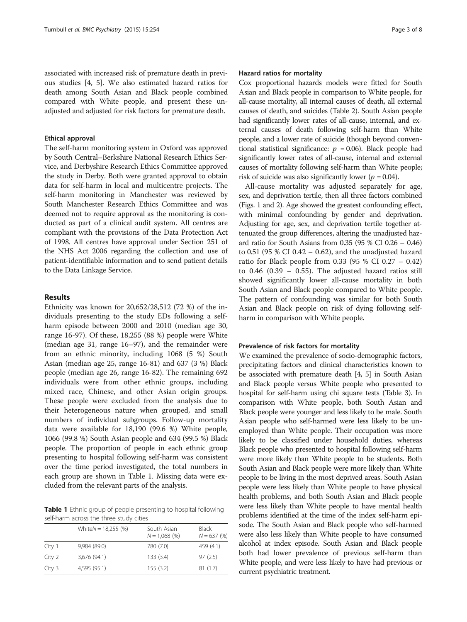associated with increased risk of premature death in previous studies [\[4, 5\]](#page-6-0). We also estimated hazard ratios for death among South Asian and Black people combined compared with White people, and present these unadjusted and adjusted for risk factors for premature death.

#### Ethical approval

The self-harm monitoring system in Oxford was approved by South Central–Berkshire National Research Ethics Service, and Derbyshire Research Ethics Committee approved the study in Derby. Both were granted approval to obtain data for self-harm in local and multicentre projects. The self-harm monitoring in Manchester was reviewed by South Manchester Research Ethics Committee and was deemed not to require approval as the monitoring is conducted as part of a clinical audit system. All centres are compliant with the provisions of the Data Protection Act of 1998. All centres have approval under Section 251 of the NHS Act 2006 regarding the collection and use of patient-identifiable information and to send patient details to the Data Linkage Service.

#### Results

Ethnicity was known for 20,652/28,512 (72 %) of the individuals presenting to the study EDs following a selfharm episode between 2000 and 2010 (median age 30, range 16-97). Of these, 18,255 (88 %) people were White (median age 31, range 16–97), and the remainder were from an ethnic minority, including 1068 (5 %) South Asian (median age 25, range 16-81) and 637 (3 %) Black people (median age 26, range 16-82). The remaining 692 individuals were from other ethnic groups, including mixed race, Chinese, and other Asian origin groups. These people were excluded from the analysis due to their heterogeneous nature when grouped, and small numbers of individual subgroups. Follow-up mortality data were available for 18,190 (99.6 %) White people, 1066 (99.8 %) South Asian people and 634 (99.5 %) Black people. The proportion of people in each ethnic group presenting to hospital following self-harm was consistent over the time period investigated, the total numbers in each group are shown in Table 1. Missing data were excluded from the relevant parts of the analysis.

Table 1 Ethnic group of people presenting to hospital following self-harm across the three study cities

|        | White $N = 18,255$ (%) | South Asian<br>$N = 1,068(%)$ | <b>Black</b><br>$N = 637(%)$ |
|--------|------------------------|-------------------------------|------------------------------|
| City 1 | 9,984 (89.0)           | 780 (7.0)                     | 459 (4.1)                    |
| City 2 | 3,676 (94.1)           | 133(3.4)                      | 97(2.5)                      |
| City 3 | 4,595 (95.1)           | 155(3.2)                      | 81(1.7)                      |

#### Hazard ratios for mortality

Cox proportional hazards models were fitted for South Asian and Black people in comparison to White people, for all-cause mortality, all internal causes of death, all external causes of death, and suicides (Table [2](#page-3-0)). South Asian people had significantly lower rates of all-cause, internal, and external causes of death following self-harm than White people, and a lower rate of suicide (though beyond conventional statistical significance:  $p = 0.06$ ). Black people had significantly lower rates of all-cause, internal and external causes of mortality following self-harm than White people; risk of suicide was also significantly lower ( $p = 0.04$ ).

All-cause mortality was adjusted separately for age, sex, and deprivation tertile, then all three factors combined (Figs. [1](#page-4-0) and [2](#page-4-0)). Age showed the greatest confounding effect, with minimal confounding by gender and deprivation. Adjusting for age, sex, and deprivation tertile together attenuated the group differences, altering the unadjusted hazard ratio for South Asians from 0.35 (95 % CI 0.26 – 0.46) to  $0.51$  (95 % CI  $0.42 - 0.62$ ), and the unadjusted hazard ratio for Black people from 0.33 (95 % CI 0.27 – 0.42) to 0.46 (0.39 – 0.55). The adjusted hazard ratios still showed significantly lower all-cause mortality in both South Asian and Black people compared to White people. The pattern of confounding was similar for both South Asian and Black people on risk of dying following selfharm in comparison with White people.

#### Prevalence of risk factors for mortality

We examined the prevalence of socio-demographic factors, precipitating factors and clinical characteristics known to be associated with premature death [\[4](#page-6-0), [5\]](#page-6-0) in South Asian and Black people versus White people who presented to hospital for self-harm using chi square tests (Table [3](#page-3-0)). In comparison with White people, both South Asian and Black people were younger and less likely to be male. South Asian people who self-harmed were less likely to be unemployed than White people. Their occupation was more likely to be classified under household duties, whereas Black people who presented to hospital following self-harm were more likely than White people to be students. Both South Asian and Black people were more likely than White people to be living in the most deprived areas. South Asian people were less likely than White people to have physical health problems, and both South Asian and Black people were less likely than White people to have mental health problems identified at the time of the index self-harm episode. The South Asian and Black people who self-harmed were also less likely than White people to have consumed alcohol at index episode. South Asian and Black people both had lower prevalence of previous self-harm than White people, and were less likely to have had previous or current psychiatric treatment.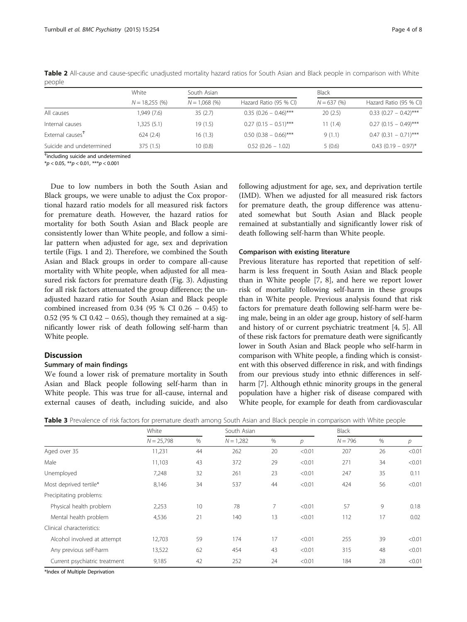| White<br>$N = 18,255(%)$ | South Asian    |                         | <b>Black</b> |                         |  |
|--------------------------|----------------|-------------------------|--------------|-------------------------|--|
|                          | $N = 1,068(%)$ | Hazard Ratio (95 % CI)  | $N = 637(%)$ | Hazard Ratio (95 % CI)  |  |
| 1,949 (7.6)              | 35(2.7)        | $0.35$ (0.26 - 0.46)*** | 20(2.5)      | $0.33$ (0.27 - 0.42)*** |  |
| 1,325 (5.1)              | 19 (1.5)       | $0.27$ (0.15 - 0.51)*** | 11(1.4)      | $0.27$ (0.15 - 0.49)*** |  |
| 624(2.4)                 | 16 (1.3)       | $0.50$ (0.38 - 0.66)*** | 9(1.1)       | $0.47$ (0.31 - 0.71)*** |  |
| 375 (1.5)                | 10(0.8)        | $0.52(0.26 - 1.02)$     | 5(0.6)       | $0.43$ (0.19 - 0.97)*   |  |
|                          |                |                         |              |                         |  |

<span id="page-3-0"></span>Table 2 All-cause and cause-specific unadjusted mortality hazard ratios for South Asian and Black people in comparison with White people

Ϯ including suicide and undetermined

 $*p < 0.05$ ,  $**p < 0.01$ ,  $***p < 0.001$ 

Due to low numbers in both the South Asian and Black groups, we were unable to adjust the Cox proportional hazard ratio models for all measured risk factors for premature death. However, the hazard ratios for mortality for both South Asian and Black people are consistently lower than White people, and follow a similar pattern when adjusted for age, sex and deprivation tertile (Figs. [1](#page-4-0) and [2](#page-4-0)). Therefore, we combined the South Asian and Black groups in order to compare all-cause mortality with White people, when adjusted for all measured risk factors for premature death (Fig. [3\)](#page-5-0). Adjusting for all risk factors attenuated the group difference; the unadjusted hazard ratio for South Asian and Black people combined increased from 0.34 (95 % CI 0.26 – 0.45) to 0.52 (95 % CI 0.42 – 0.65), though they remained at a significantly lower risk of death following self-harm than White people.

# Discussion

# Summary of main findings

We found a lower risk of premature mortality in South Asian and Black people following self-harm than in White people. This was true for all-cause, internal and external causes of death, including suicide, and also

following adjustment for age, sex, and deprivation tertile (IMD). When we adjusted for all measured risk factors for premature death, the group difference was attenuated somewhat but South Asian and Black people remained at substantially and significantly lower risk of death following self-harm than White people.

#### Comparison with existing literature

Previous literature has reported that repetition of selfharm is less frequent in South Asian and Black people than in White people [[7, 8\]](#page-6-0), and here we report lower risk of mortality following self-harm in these groups than in White people. Previous analysis found that risk factors for premature death following self-harm were being male, being in an older age group, history of self-harm and history of or current psychiatric treatment [[4, 5](#page-6-0)]. All of these risk factors for premature death were significantly lower in South Asian and Black people who self-harm in comparison with White people, a finding which is consistent with this observed difference in risk, and with findings from our previous study into ethnic differences in selfharm [\[7](#page-6-0)]. Although ethnic minority groups in the general population have a higher risk of disease compared with White people, for example for death from cardiovascular

|                               | White        |      | South Asian |    |               | Black     |      |                |
|-------------------------------|--------------|------|-------------|----|---------------|-----------|------|----------------|
|                               | $N = 25,798$ | $\%$ | $N = 1,282$ | %  | $\mathcal{P}$ | $N = 796$ | $\%$ | $\overline{p}$ |
| Aged over 35                  | 11,231       | 44   | 262         | 20 | < 0.01        | 207       | 26   | < 0.01         |
| Male                          | 11,103       | 43   | 372         | 29 | < 0.01        | 271       | 34   | < 0.01         |
| Unemployed                    | 7,248        | 32   | 261         | 23 | < 0.01        | 247       | 35   | 0.11           |
| Most deprived tertile*        | 8,146        | 34   | 537         | 44 | < 0.01        | 424       | 56   | < 0.01         |
| Precipitating problems:       |              |      |             |    |               |           |      |                |
| Physical health problem       | 2,253        | 10   | 78          | 7  | < 0.01        | 57        | 9    | 0.18           |
| Mental health problem         | 4,536        | 21   | 140         | 13 | < 0.01        | 112       | 17   | 0.02           |
| Clinical characteristics:     |              |      |             |    |               |           |      |                |
| Alcohol involved at attempt   | 12,703       | 59   | 174         | 17 | < 0.01        | 255       | 39   | < 0.01         |
| Any previous self-harm        | 13,522       | 62   | 454         | 43 | < 0.01        | 315       | 48   | < 0.01         |
| Current psychiatric treatment | 9,185        | 42   | 252         | 24 | < 0.01        | 184       | 28   | < 0.01         |

Table 3 Prevalence of risk factors for premature death among South Asian and Black people in comparison with White people

\*Index of Multiple Deprivation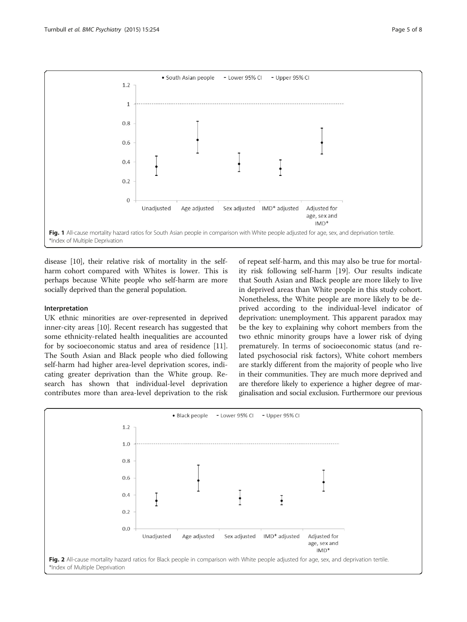<span id="page-4-0"></span>

disease [[10](#page-6-0)], their relative risk of mortality in the selfharm cohort compared with Whites is lower. This is perhaps because White people who self-harm are more socially deprived than the general population.

#### Interpretation

UK ethnic minorities are over-represented in deprived inner-city areas [[10\]](#page-6-0). Recent research has suggested that some ethnicity-related health inequalities are accounted for by socioeconomic status and area of residence [\[11](#page-6-0)]. The South Asian and Black people who died following self-harm had higher area-level deprivation scores, indicating greater deprivation than the White group. Research has shown that individual-level deprivation contributes more than area-level deprivation to the risk

of repeat self-harm, and this may also be true for mortality risk following self-harm [\[19](#page-7-0)]. Our results indicate that South Asian and Black people are more likely to live in deprived areas than White people in this study cohort. Nonetheless, the White people are more likely to be deprived according to the individual-level indicator of deprivation: unemployment. This apparent paradox may be the key to explaining why cohort members from the two ethnic minority groups have a lower risk of dying prematurely. In terms of socioeconomic status (and related psychosocial risk factors), White cohort members are starkly different from the majority of people who live in their communities. They are much more deprived and are therefore likely to experience a higher degree of marginalisation and social exclusion. Furthermore our previous

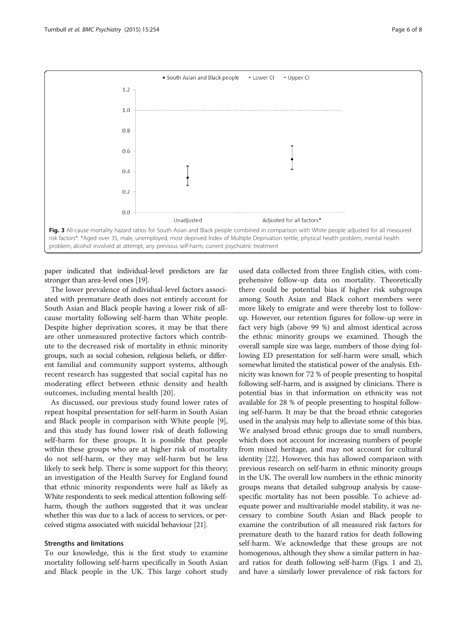<span id="page-5-0"></span>

paper indicated that individual-level predictors are far stronger than area-level ones [[19](#page-7-0)].

The lower prevalence of individual-level factors associated with premature death does not entirely account for South Asian and Black people having a lower risk of allcause mortality following self-harm than White people. Despite higher deprivation scores, it may be that there are other unmeasured protective factors which contribute to the decreased risk of mortality in ethnic minority groups, such as social cohesion, religious beliefs, or different familial and community support systems, although recent research has suggested that social capital has no moderating effect between ethnic density and health outcomes, including mental health [[20\]](#page-7-0).

As discussed, our previous study found lower rates of repeat hospital presentation for self-harm in South Asian and Black people in comparison with White people [\[9](#page-6-0)], and this study has found lower risk of death following self-harm for these groups. It is possible that people within these groups who are at higher risk of mortality do not self-harm, or they may self-harm but be less likely to seek help. There is some support for this theory; an investigation of the Health Survey for England found that ethnic minority respondents were half as likely as White respondents to seek medical attention following selfharm, though the authors suggested that it was unclear whether this was due to a lack of access to services, or perceived stigma associated with suicidal behaviour [\[21\]](#page-7-0).

#### Strengths and limitations

To our knowledge, this is the first study to examine mortality following self-harm specifically in South Asian and Black people in the UK. This large cohort study

used data collected from three English cities, with comprehensive follow-up data on mortality. Theoretically there could be potential bias if higher risk subgroups among South Asian and Black cohort members were more likely to emigrate and were thereby lost to followup. However, our retention figures for follow-up were in fact very high (above 99 %) and almost identical across the ethnic minority groups we examined. Though the overall sample size was large, numbers of those dying following ED presentation for self-harm were small, which somewhat limited the statistical power of the analysis. Ethnicity was known for 72 % of people presenting to hospital following self-harm, and is assigned by clinicians. There is potential bias in that information on ethnicity was not available for 28 % of people presenting to hospital following self-harm. It may be that the broad ethnic categories used in the analysis may help to alleviate some of this bias. We analysed broad ethnic groups due to small numbers, which does not account for increasing numbers of people from mixed heritage, and may not account for cultural identity [[22](#page-7-0)]. However, this has allowed comparison with previous research on self-harm in ethnic minority groups in the UK. The overall low numbers in the ethnic minority groups means that detailed subgroup analysis by causespecific mortality has not been possible. To achieve adequate power and multivariable model stability, it was necessary to combine South Asian and Black people to examine the contribution of all measured risk factors for premature death to the hazard ratios for death following self-harm. We acknowledge that these groups are not homogenous, although they show a similar pattern in hazard ratios for death following self-harm (Figs. [1](#page-4-0) and [2](#page-4-0)), and have a similarly lower prevalence of risk factors for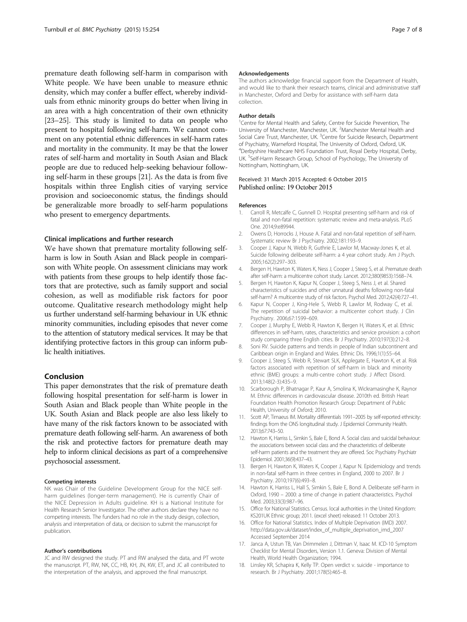<span id="page-6-0"></span>premature death following self-harm in comparison with White people. We have been unable to measure ethnic density, which may confer a buffer effect, whereby individuals from ethnic minority groups do better when living in an area with a high concentration of their own ethnicity [[23](#page-7-0)–[25\]](#page-7-0). This study is limited to data on people who present to hospital following self-harm. We cannot comment on any potential ethnic differences in self-harm rates and mortality in the community. It may be that the lower rates of self-harm and mortality in South Asian and Black people are due to reduced help-seeking behaviour following self-harm in these groups [[21](#page-7-0)]. As the data is from five hospitals within three English cities of varying service provision and socioeconomic status, the findings should be generalizable more broadly to self-harm populations who present to emergency departments.

#### Clinical implications and further research

We have shown that premature mortality following selfharm is low in South Asian and Black people in comparison with White people. On assessment clinicians may work with patients from these groups to help identify those factors that are protective, such as family support and social cohesion, as well as modifiable risk factors for poor outcome. Qualitative research methodology might help us further understand self-harming behaviour in UK ethnic minority communities, including episodes that never come to the attention of statutory medical services. It may be that identifying protective factors in this group can inform public health initiatives.

#### Conclusion

This paper demonstrates that the risk of premature death following hospital presentation for self-harm is lower in South Asian and Black people than White people in the UK. South Asian and Black people are also less likely to have many of the risk factors known to be associated with premature death following self-harm. An awareness of both the risk and protective factors for premature death may help to inform clinical decisions as part of a comprehensive psychosocial assessment.

#### Competing interests

NK was Chair of the Guideline Development Group for the NICE selfharm guidelines (longer-term management). He is currently Chair of the NICE Depression in Adults guideline. KH is a National Institute for Health Research Senior Investigator. The other authors declare they have no competing interests. The funders had no role in the study design, collection, analysis and interpretation of data, or decision to submit the manuscript for publication.

#### Author's contributions

JC and RW designed the study. PT and RW analysed the data, and PT wrote the manuscript. PT, RW, NK, CC, HB, KH, JN, KW, ET, and JC all contributed to the interpretation of the analysis, and approved the final manuscript.

#### Acknowledgements

The authors acknowledge financial support from the Department of Health, and would like to thank their research teams, clinical and administrative staff in Manchester, Oxford and Derby for assistance with self-harm data collection.

#### Author details

<sup>1</sup> Centre for Mental Health and Safety, Centre for Suicide Prevention, The University of Manchester, Manchester, UK. <sup>2</sup>Manchester Mental Health and Social Care Trust, Manchester, UK. <sup>3</sup>Centre for Suicide Research, Department of Psychiatry, Warneford Hospital, The University of Oxford, Oxford, UK. 4 Derbyshire Healthcare NHS Foundation Trust, Royal Derby Hospital, Derby, UK. <sup>5</sup>Self-Harm Research Group, School of Psychology, The University of Nottingham, Nottingham, UK.

#### Received: 31 March 2015 Accepted: 6 October 2015 Published online: 19 October 2015

#### References

- 1. Carroll R, Metcalfe C, Gunnell D. Hospital presenting self-harm and risk of fatal and non-fatal repetition: systematic review and meta-analysis. PLoS One. 2014;9:e89944.
- 2. Owens D, Horrocks J, House A. Fatal and non-fatal repetition of self-harm. Systematic review Br J Psychiatry. 2002;181:193–9.
- 3. Cooper J, Kapur N, Webb R, Guthrie E, Lawlor M, Macway-Jones K, et al. Suicide following deliberate self-harm: a 4 year cohort study. Am J Psych. 2005;162(2):297–303.
- 4. Bergen H, Hawton K, Waters K, Ness J, Cooper J, Steeg S, et al. Premature death after self-harm: a multicentre cohort study. Lancet. 2012;380(9853):1568–74.
- 5. Bergen H, Hawton K, Kapur N, Cooper J, Steeg S, Ness J, et al. Shared characteristics of suicides and other unnatural deaths following non-fatal self-harm? A multicentre study of risk factors. Psychol Med. 2012;42(4):727–41.
- 6. Kapur N, Cooper J, King-Hele S, Webb R, Lawlor M, Rodway C, et al. The repetition of suicidal behavior: a multicenter cohort study. J Clin Psychiatry. 2006;67:1599–609.
- 7. Cooper J, Murphy E, Webb R, Hawton K, Bergen H, Waters K, et al. Ethnic differences in self-harm, rates, characteristics and service provision: a cohort study comparing three English cities. Br J Psychiatry. 2010;197(3):212–8.
- 8. Soni RV. Suicide patterns and trends in people of Indian subcontinent and Caribbean origin in England and Wales. Ethnic Dis. 1996;1(1):55–64.
- 9. Cooper J, Steeg S, Webb R, Stewart SLK, Applegate E, Hawton K, et al. Risk factors associated with repetition of self-harm in black and minority ethnic (BME) groups: a multi-centre cohort study. J Affect Disord. 2013;148(2-3):435–9.
- 10. Scarborough P, Bhatnagar P, Kaur A, Smolina K, Wickramasinghe K, Raynor M. Ethnic differences in cardiovascular disease. 2010th ed. British Heart Foundation Health Promotion Research Group: Department of Public Health, University of Oxford; 2010.
- 11. Scott AP, Timaeus IM. Mortality differentials 1991–2005 by self-reported ethnicity: findings from the ONS longitudinal study. J Epidemiol Community Health. 2013;67:743–50.
- 12. Hawton K, Harriss L, Simkin S, Bale E, Bond A. Social class and suicidal behaviour: the associations between social class and the characteristics of deliberate self-harm patients and the treatment they are offered. Soc Psychiatry Psychiatr Epidemiol. 2001;36(9):437–43.
- 13. Bergen H, Hawton K, Waters K, Cooper J, Kapur N. Epidemiology and trends in non-fatal self-harm in three centres in England, 2000 to 2007. Br J Psychiatry. 2010;197(6):493–8.
- 14. Hawton K, Harriss L, Hall S, Simkin S, Bale E, Bond A. Deliberate self-harm in Oxford, 1990 – 2000: a time of change in patient characteristics. Psychol Med. 2003;33(3):987–96.
- 15. Office for National Statistics. Census. local authorities in the United Kingdom: KS201UK Ethnic group; 2011. (excel sheet) released: 11 October 2013.
- 16. Office for National Statistics. Index of Multiple Deprivation (IMD) 2007. [http://data.gov.uk/dataset/index\\_of\\_multiple\\_deprivation\\_imd\\_2007](http://data.gov.uk/dataset/index_of_multiple_deprivation_imd_2007) Accessed September 2014
- 17. Janca A, Ustun TB, Van Drimmelen J, Dittman V, Isaac M. ICD-10 Symptom Checklist for Mental Disorders, Version 1.1. Geneva: Division of Mental Health, World Health Organization; 1994.
- 18. Linsley KR, Schapira K, Kelly TP. Open verdict v. suicide importance to research. Br J Psychiatry. 2001;178(5):465–8.